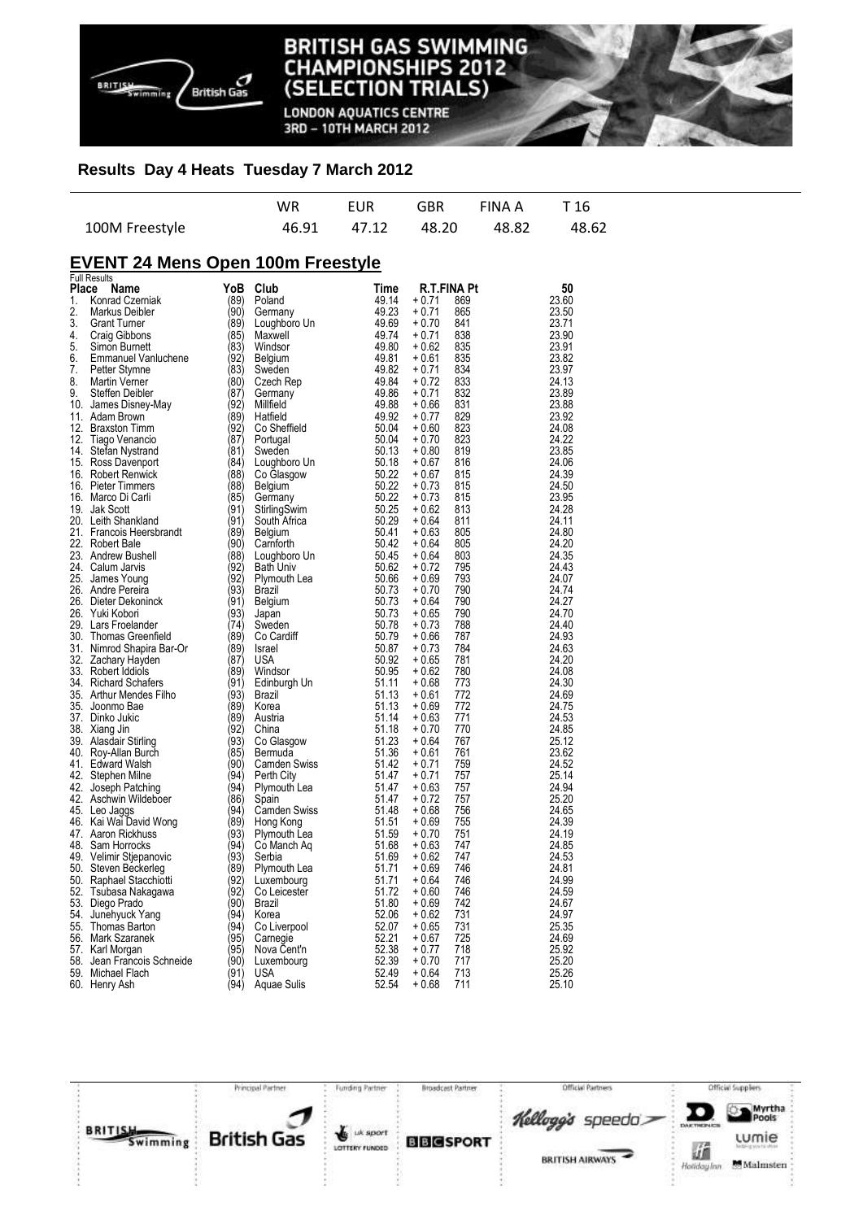

**LONDON AQUATICS CENTRE** 3RD - 10TH MARCH 2012

### **Results Day 4 Heats Tuesday 7 March 2012**

|                |  | WR EUR GBR FINAA T16          |  |
|----------------|--|-------------------------------|--|
| 100M Freestyle |  | 46.91 47.12 48.20 48.82 48.62 |  |

# **EVENT 24 Mens Open 100m Freestyle**  Full Results

| Place | Name                       | YoB  | Club                | Time  | <b>R.T.FINA Pt</b> |     | 50    |
|-------|----------------------------|------|---------------------|-------|--------------------|-----|-------|
| 1.    | Konrad Czerniak            | (89) | Poland              | 49.14 | + 0.71             | 869 | 23.60 |
| 2.    | Markus Deibler             | (90) | Germany             | 49.23 | + 0.71             | 865 | 23.50 |
| 3.    | Grant Turner               | (89) | Loughboro Un        | 49.69 | + 0.70             | 841 | 23.71 |
| 4.    | Craig Gibbons              | (85) | Maxwell             | 49.74 | $+0.71$            | 838 | 23.90 |
| 5.    | Simon Burnett              | (83) | Windsor             | 49.80 | $+0.62$            | 835 | 23.91 |
| 6.    | Emmanuel Vanluchene        | (92) | Belgium             | 49.81 | + 0.61             | 835 | 23.82 |
| 7.    | Petter Stymne              | (83) | Sweden              | 49.82 | + 0.71             | 834 | 23.97 |
| 8.    | Martin Verner              | (80) | Czech Rep           | 49.84 | + 0.72             | 833 | 24.13 |
| 9.    | Steffen Deibler            | (87) | Germany             | 49.86 | + 0.71             | 832 | 23.89 |
|       | 10. James Disney-May       | (92) | Millfield           | 49.88 | $+0.66$            | 831 | 23.88 |
| 11.   | Adam Brown                 | (89) | Hatfield            | 49.92 | $+0.77$            | 829 | 23.92 |
|       | 12. Braxston Timm          | (92) | Co Sheffield        | 50.04 | $+0.60$            | 823 | 24.08 |
| 12.   | Tiago Venancio             | (87) | Portugal            | 50.04 | $+0.70$            | 823 | 24.22 |
|       | 14. Stefan Nystrand        | (81) | Sweden              | 50.13 | + 0.80             | 819 | 23.85 |
|       | 15. Ross Davenport         | (84) | Loughboro Un        | 50.18 | $+0.67$            | 816 | 24.06 |
|       | 16. Robert Renwick         | (88) | Co Glasgow          | 50.22 | + 0.67             | 815 | 24.39 |
|       | 16. Pieter Timmers         | (88) | Belgium             | 50.22 | + 0.73             | 815 | 24.50 |
|       | 16. Marco Di Carli         | (85) | Germany             | 50.22 | $+0.73$            | 815 | 23.95 |
|       | 19. Jak Scott              | (91) | StirlingSwim        | 50.25 | $+0.62$            | 813 | 24.28 |
|       | 20. Leith Shankland        | (91) | South Africa        | 50.29 | + 0.64             | 811 | 24.11 |
|       | 21. Francois Heersbrandt   | (89) | Belgium             | 50.41 | + 0.63             | 805 | 24.80 |
|       | 22. Robert Bale            | (90) | Camforth            | 50.42 | + 0.64             | 805 | 24.20 |
|       | 23. Andrew Bushell         | (88) | Loughboro Un        | 50.45 | + 0.64             | 803 | 24.35 |
|       | 24. Calum Jarvis           | (92) | <b>Bath Univ</b>    | 50.62 | + 0.72             | 795 | 24.43 |
|       | 25. James Young            | (92) | Plymouth Lea        | 50.66 | $+0.69$            | 793 | 24.07 |
|       | 26. Andre Pereira          | (93) | Brazil              | 50.73 | + 0.70             | 790 | 24.74 |
|       | 26. Dieter Dekoninck       | (91) | Belgium             | 50.73 | + 0.64             | 790 | 24.27 |
|       | 26. Yuki Kobori            | (93) | Japan               | 50.73 | $+0.65$            | 790 | 24.70 |
|       | 29. Lars Froelander        | (74) | Sweden              | 50.78 | + 0.73             | 788 | 24.40 |
|       | 30. Thomas Greenfield      | (89) | Co Cardiff          | 50.79 | + 0.66             | 787 | 24.93 |
|       | 31. Nimrod Shapira Bar-Or  | (89) | Israel              | 50.87 | + 0.73             | 784 | 24.63 |
|       | 32. Zachary Hayden         | (87) | USA                 | 50.92 | + 0.65             | 781 | 24.20 |
|       | 33. Robert Iddiols         | (89) | Windsor             | 50.95 | + 0.62             | 780 | 24.08 |
|       | 34. Richard Schafers       | (91) | Edinburgh Un        | 51.11 | + 0.68             | 773 | 24.30 |
|       | 35. Arthur Mendes Filho    | (93) | Brazil              | 51.13 | + 0.61             | 772 | 24.69 |
|       | 35. Joonmo Bae             | (89) | Korea               | 51.13 | + 0.69             | 772 | 24.75 |
|       | 37. Dinko Jukic            | (89) | Austria             | 51.14 | + 0.63             | 771 | 24.53 |
|       | 38. Xiang Jin              | (92) | China               | 51.18 | + 0.70             | 770 | 24.85 |
|       | 39. Alasdair Stirling      | (93) | Co Glasgow          | 51.23 | + 0.64             | 767 | 25.12 |
|       | 40. Roy-Allan Burch        | (85) | Bermuda             | 51.36 | + 0.61             | 761 | 23.62 |
|       | 41. Edward Walsh           | (90) | Camden Swiss        | 51.42 | + 0.71             | 759 | 24.52 |
| 42.   | Stephen Milne              | (94) | Perth City          | 51.47 | + 0.71             | 757 | 25.14 |
| 42.   | Joseph Patching            | (94) | Plymouth Lea        | 51.47 | + 0.63             | 757 | 24.94 |
|       | 42. Aschwin Wildeboer      | (86) | Spain               | 51.47 | + 0.72             | 757 | 25.20 |
|       | 45. Leo Jaggs              | (94) | <b>Camden Swiss</b> | 51.48 | $+0.68$            | 756 | 24.65 |
|       | 46. Kai Wai David Wong     | (89) | Hong Kong           | 51.51 | $+0.69$            | 755 | 24.39 |
|       | 47. Aaron Rickhuss         | (93) | Plymouth Lea        | 51.59 | + 0.70             | 751 | 24.19 |
| 48.   | Sam Horrocks               | (94) | Co Manch Aq         | 51.68 | + 0.63             | 747 | 24.85 |
|       | 49. Velimir Stjepanovic    | (93) | Serbia              | 51.69 | + 0.62             | 747 | 24.53 |
|       | 50. Steven Beckerleg       | (89) | Plymouth Lea        | 51.71 | + 0.69             | 746 | 24.81 |
|       | 50. Raphael Stacchiotti    | (92) | Luxembourg          | 51.71 | + 0.64             | 746 | 24.99 |
|       | 52. Tsubasa Nakagawa       | (92) | Co Leicester        | 51.72 | + 0.60             | 746 | 24.59 |
|       | 53. Diego Prado            | (90) | Brazil              | 51.80 | + 0.69             | 742 | 24.67 |
|       | 54. Junehyuck Yang         | (94) | Korea               | 52.06 | + 0.62             | 731 | 24.97 |
|       | 55. Thomas Barton          | (94) | Co Liverpool        | 52.07 | + 0.65             | 731 | 25.35 |
|       | 56. Mark Szaranek          | (95) | Camegie             | 52.21 | + 0.67             | 725 | 24.69 |
|       | 57. Karl Morgan            | (95) | Nova Cent'n         | 52.38 | + 0.77             | 718 | 25.92 |
|       | 58. Jean Francois Schneide | (90) | Luxembourg          | 52.39 | + 0.70             | 717 | 25.20 |
|       | 59. Michael Flach          | (91) | USA                 | 52.49 | + 0.64             | 713 | 25.26 |
|       | 60. Henry Ash              | (94) | Aquae Sulis         | 52.54 | + 0.68             | 711 | 25.10 |

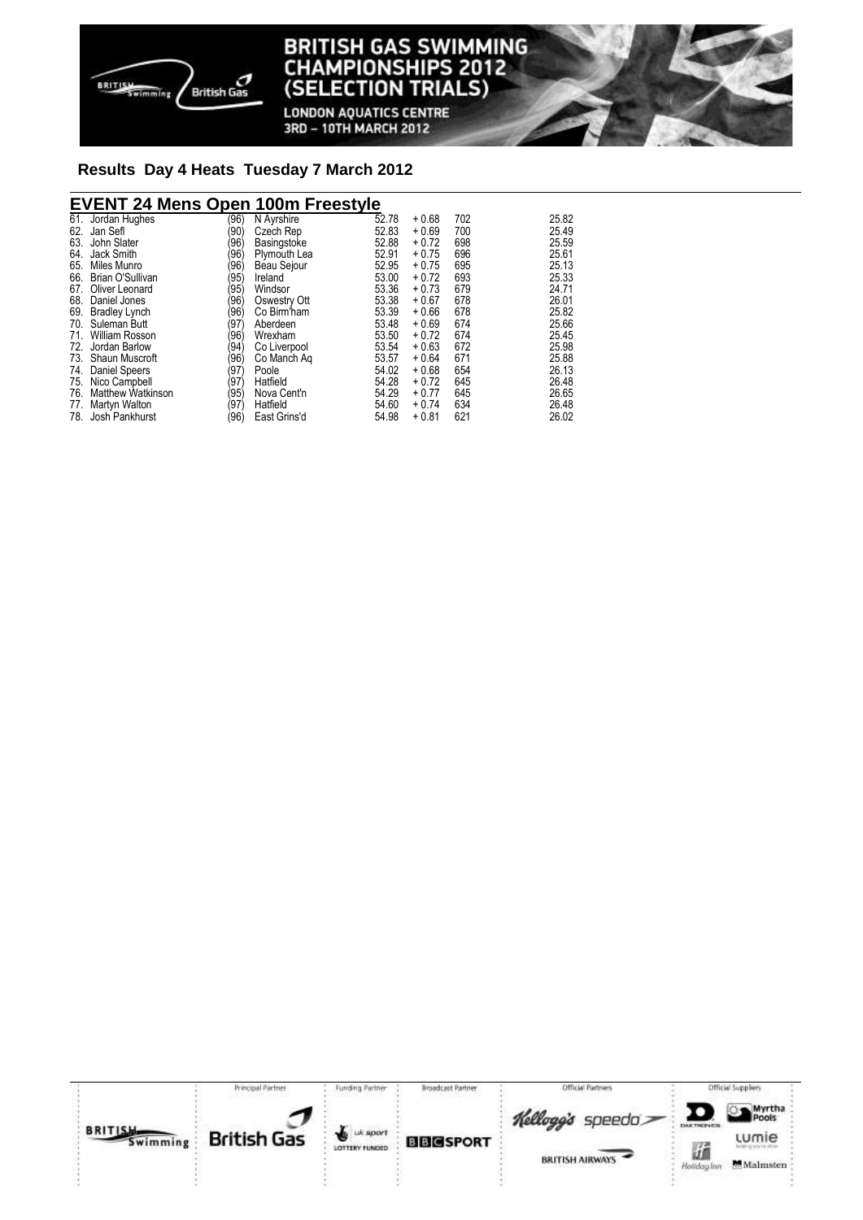

#### **TISH GAS SWIMMING** BRI **IAMPIONSHIPS 2012** Cŀ **TRIALS) (SELEC** ION

**LONDON AQUATICS CENTRE** 3RD - 10TH MARCH 2012

# **Results Day 4 Heats Tuesday 7 March 2012**

## **EVENT 24 Mens Open 100m Freestyle**

| Jordan Hughes            | (96)                                                                                                                                                                                                  | N Ayrshire   | 52.78       | $+0.68$ | 702 | 25.82 |
|--------------------------|-------------------------------------------------------------------------------------------------------------------------------------------------------------------------------------------------------|--------------|-------------|---------|-----|-------|
| Jan Sefl                 | (90                                                                                                                                                                                                   | Czech Rep    | 52.83       | $+0.69$ | 700 | 25.49 |
| John Slater              | (96                                                                                                                                                                                                   |              | 52.88       | $+0.72$ | 698 | 25.59 |
| Jack Smith               | (96                                                                                                                                                                                                   | Plymouth Lea | 52.91       | $+0.75$ | 696 | 25.61 |
| Miles Munro              | (96)                                                                                                                                                                                                  | Beau Sejour  | 52.95       | $+0.75$ | 695 | 25.13 |
|                          | (95)                                                                                                                                                                                                  | Ireland      | 53.00       | $+0.72$ | 693 | 25.33 |
| Oliver Leonard           | (95)                                                                                                                                                                                                  | Windsor      | 53.36       | $+0.73$ | 679 | 24.71 |
| Daniel Jones             | (96                                                                                                                                                                                                   | Oswestry Ott | 53.38       | $+0.67$ | 678 | 26.01 |
|                          | (96                                                                                                                                                                                                   | Co Birm'ham  | 53.39       | $+0.66$ | 678 | 25.82 |
| Suleman Butt             | (97)                                                                                                                                                                                                  | Aberdeen     | 53.48       | $+0.69$ | 674 | 25.66 |
| William Rosson           | (96                                                                                                                                                                                                   | Wrexham      | 53.50       | $+0.72$ | 674 | 25.45 |
|                          | (94                                                                                                                                                                                                   | Co Liverpool | 53.54       | $+0.63$ | 672 | 25.98 |
|                          | (96                                                                                                                                                                                                   | Co Manch Ag  | 53.57       | $+0.64$ | 671 | 25.88 |
|                          | (97)                                                                                                                                                                                                  | Poole        | 54.02       | $+0.68$ | 654 | 26.13 |
|                          | (97)                                                                                                                                                                                                  | Hatfield     | 54.28       | $+0.72$ | 645 | 26.48 |
| <b>Matthew Watkinson</b> | (95)                                                                                                                                                                                                  | Nova Cent'n  | 54.29       | $+0.77$ | 645 | 26.65 |
| Martyn Walton            | (97)                                                                                                                                                                                                  | Hatfield     | 54.60       | $+0.74$ | 634 | 26.48 |
|                          | (96)                                                                                                                                                                                                  | East Grins'd | 54.98       | $+0.81$ | 621 | 26.02 |
| 61.                      | 65.<br>66. Brian O'Sullivan<br>67.<br>68.<br>69. Bradley Lynch<br>70.<br>71.<br>72. Jordan Barlow<br>73. Shaun Muscroft<br>74. Daniel Speers<br>75. Nico Campbell<br>76.<br>77.<br>78. Josh Pankhurst |              | Basingstoke |         |     |       |

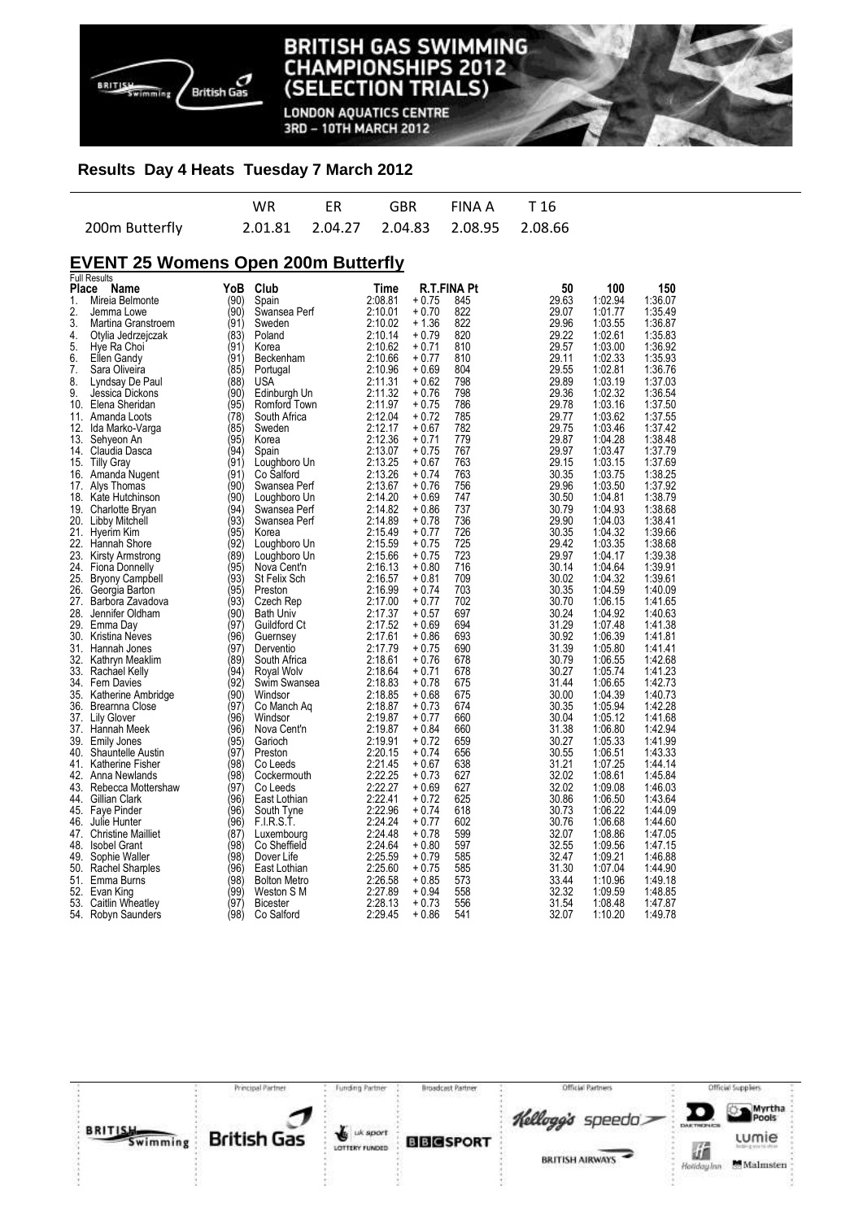

**LONDON AQUATICS CENTRE** 3RD - 10TH MARCH 2012

#### **Results Day 4 Heats Tuesday 7 March 2012**

|                | <b>WR</b> |                                             | ER GBR FINAA T16 |  |
|----------------|-----------|---------------------------------------------|------------------|--|
| 200m Butterfly |           | 2.01.81  2.04.27  2.04.83  2.08.95  2.08.66 |                  |  |

## **EVENT 25 Womens Open 200m Butterfly**

|       | <b>Full Results</b>      |      |                     |         |                    |     |       |         |         |
|-------|--------------------------|------|---------------------|---------|--------------------|-----|-------|---------|---------|
| Place | Name                     | YoB  | Club                | Time    | <b>R.T.FINA Pt</b> |     | 50    | 100     | 150     |
| 1.    | Mireia Belmonte          | (90) | Spain               | 2:08.81 | + 0.75             | 845 | 29.63 | 1:02.94 | 1:36.07 |
| 2.    | Jemma Lowe               | (90) | Swansea Perf        | 2:10.01 | $+0.70$            | 822 | 29.07 | 1:01.77 | 1:35.49 |
| 3.    | Martina Granstroem       | (91) | Sweden              | 2:10.02 | $+1.36$            | 822 | 29.96 | 1:03.55 | 1:36.87 |
| 4.    | Otylia Jedrzejczak       | (83) | Poland              | 2:10.14 | $+0.79$            | 820 | 29.22 | 1:02.61 | 1:35.83 |
| 5.    |                          | (91) | Korea               | 2:10.62 | $+0.71$            | 810 | 29.57 | 1:03.00 | 1:36.92 |
|       | Hye Ra Choi              |      |                     |         |                    |     |       |         |         |
| 6.    | Ellen Gandy              | (91) | Beckenham           | 2:10.66 | $+0.77$            | 810 | 29.11 | 1:02.33 | 1:35.93 |
| 7.    | Sara Oliveira            | (85) | Portugal            | 2:10.96 | $+0.69$            | 804 | 29.55 | 1:02.81 | 1:36.76 |
| 8.    | Lyndsay De Paul          | (88' | USA                 | 2:11.31 | $+0.62$            | 798 | 29.89 | 1:03.19 | 1:37.03 |
| 9.    | Jessica Dickons          | (90) | Edinburgh Un        | 2:11.32 | $+0.76$            | 798 | 29.36 | 1:02.32 | 1:36.54 |
| 10.   | Elena Sheridan           | (95) | Romford Town        | 2:11.97 | $+0.75$            | 786 | 29.78 | 1:03.16 | 1:37.50 |
| 11.   | Amanda Loots             | (78' | South Africa        | 2:12.04 | $+0.72$            | 785 | 29.77 | 1:03.62 | 1:37.55 |
| 12.   | Ida Marko-Varga          | (85) | Sweden              | 2:12.17 | $+0.67$            | 782 | 29.75 | 1:03.46 | 1:37.42 |
| 13.   | Sehyeon An               | (95) | Korea               | 2:12.36 | $+0.71$            | 779 | 29.87 | 1:04.28 | 1:38.48 |
|       | 14. Claudia Dasca        | (94' | Spain               | 2:13.07 | $+0.75$            | 767 | 29.97 | 1:03.47 | 1:37.79 |
|       | 15. Tilly Gray           | (91) | Loughboro Un        | 2:13.25 | $+0.67$            | 763 | 29.15 | 1:03.15 | 1:37.69 |
|       |                          | (91) | Co Salford          | 2:13.26 | $+0.74$            | 763 | 30.35 | 1:03.75 | 1:38.25 |
| 16.   | Amanda Nugent            |      |                     |         |                    |     |       |         |         |
| 17.   | Alys Thomas              | (90) | Swansea Perf        | 2:13.67 | $+0.76$            | 756 | 29.96 | 1:03.50 | 1:37.92 |
| 18.   | Kate Hutchinson          | (90) | Loughboro Un        | 2:14.20 | $+0.69$            | 747 | 30.50 | 1:04.81 | 1:38.79 |
| 19.   | Charlotte Bryan          | (94) | Swansea Perf        | 2:14.82 | $+0.86$            | 737 | 30.79 | 1:04.93 | 1:38.68 |
|       | 20. Libby Mitchell       | (93' | Swansea Perf        | 2:14.89 | $+0.78$            | 736 | 29.90 | 1:04.03 | 1:38.41 |
| 21.   | Hyerim Kim               | (95) | Korea               | 2:15.49 | $+0.77$            | 726 | 30.35 | 1:04.32 | 1:39.66 |
| 22.   | Hannah Shore             | (92) | Loughboro Un        | 2:15.59 | $+0.75$            | 725 | 29.42 | 1:03.35 | 1:38.68 |
| 23.   | Kirsty Armstrong         | (89' | Loughboro Un        | 2:15.66 | $+0.75$            | 723 | 29.97 | 1:04.17 | 1:39.38 |
| 24.   | <b>Fiona Donnelly</b>    | (95) | Nova Cent'n         | 2:16.13 | $+0.80$            | 716 | 30.14 | 1:04.64 | 1:39.91 |
| 25.   | <b>Bryony Campbell</b>   | (93) | St Felix Sch        | 2:16.57 | $+0.81$            | 709 | 30.02 | 1:04.32 | 1:39.61 |
|       | 26. Georgia Barton       | (95' | Preston             | 2:16.99 | $+0.74$            | 703 | 30.35 | 1:04.59 | 1:40.09 |
| 27.   | Barbora Zavadova         | (93) | Czech Rep           | 2:17.00 | $+0.77$            | 702 | 30.70 | 1:06.15 | 1:41.65 |
|       |                          |      |                     |         |                    |     |       |         |         |
| 28.   | Jennifer Oldham          | (90) | <b>Bath Univ</b>    | 2:17.37 | $+0.57$            | 697 | 30.24 | 1:04.92 | 1:40.63 |
|       | 29. Emma Day             | (97' | Guildford Ct        | 2:17.52 | $+0.69$            | 694 | 31.29 | 1:07.48 | 1:41.38 |
|       | 30. Kristina Neves       | (96) | Guernsey            | 2:17.61 | $+0.86$            | 693 | 30.92 | 1:06.39 | 1:41.81 |
| 31.   | Hannah Jones             | (97) | Derventio           | 2:17.79 | + 0.75             | 690 | 31.39 | 1:05.80 | 1:41.41 |
|       | 32. Kathryn Meaklim      | (89' | South Africa        | 2:18.61 | $+0.76$            | 678 | 30.79 | 1:06.55 | 1:42.68 |
|       | 33. Rachael Kelly        | (94) | Royal Wolv          | 2:18.64 | $+0.71$            | 678 | 30.27 | 1:05.74 | 1:41.23 |
|       | 34. Fern Davies          | (92′ | Swim Swansea        | 2:18.83 | + 0.78             | 675 | 31.44 | 1:06.65 | 1:42.73 |
|       | 35. Katherine Ambridge   | (90) | Windsor             | 2:18.85 | $+0.68$            | 675 | 30.00 | 1:04.39 | 1:40.73 |
|       | 36. Brearnna Close       | (97) | Co Manch Aq         | 2:18.87 | $+0.73$            | 674 | 30.35 | 1:05.94 | 1:42.28 |
| 37.   | Lily Glover              | (96' | Windsor             | 2:19.87 | + 0.77             | 660 | 30.04 | 1:05.12 | 1:41.68 |
|       | 37. Hannah Meek          | (96) | Nova Cent'n         | 2:19.87 | + 0.84             | 660 | 31.38 | 1:06.80 | 1:42.94 |
| 39.   | <b>Emily Jones</b>       | (95) | Garioch             | 2:19.91 | $+0.72$            | 659 | 30.27 | 1:05.33 | 1:41.99 |
| 40.   | <b>Shauntelle Austin</b> | (97) | Preston             | 2:20.15 | + 0.74             | 656 | 30.55 | 1:06.51 | 1:43.33 |
|       |                          |      |                     |         |                    |     |       |         |         |
|       | 41. Katherine Fisher     | (98) | Co Leeds            | 2:21.45 | $+0.67$            | 638 | 31.21 | 1:07.25 | 1:44.14 |
|       | 42. Anna Newlands        | (98) | Cockermouth         | 2:22.25 | $+0.73$            | 627 | 32.02 | 1:08.61 | 1:45.84 |
|       | 43. Rebecca Mottershaw   | (97) | Co Leeds            | 2:22.27 | + 0.69             | 627 | 32.02 | 1:09.08 | 1:46.03 |
|       | 44. Gillian Clark        | (96) | East Lothian        | 2:22.41 | $+0.72$            | 625 | 30.86 | 1:06.50 | 1:43.64 |
|       | 45. Faye Pinder          | (96) | South Tyne          | 2:22.96 | $+0.74$            | 618 | 30.73 | 1:06.22 | 1:44.09 |
| 46.   | Julie Hunter             | (96) | F.I.R.S.T.          | 2:24.24 | $+0.77$            | 602 | 30.76 | 1:06.68 | 1:44.60 |
|       | 47. Christine Mailliet   | (87) | Luxembourg          | 2:24.48 | $+0.78$            | 599 | 32.07 | 1:08.86 | 1:47.05 |
| 48.   | <b>Isobel Grant</b>      | (98) | Co Sheffield        | 2:24.64 | $+0.80$            | 597 | 32.55 | 1:09.56 | 1:47.15 |
| 49.   | Sophie Waller            | (98) | Dover Life          | 2:25.59 | + 0.79             | 585 | 32.47 | 1:09.21 | 1:46.88 |
|       | 50. Rachel Sharples      | (96) | East Lothian        | 2:25.60 | $+0.75$            | 585 | 31.30 | 1:07.04 | 1:44.90 |
|       | 51. Emma Burns           | (98) | <b>Bolton Metro</b> | 2:26.58 | $+0.85$            | 573 | 33.44 | 1:10.96 | 1:49.18 |
| 52.   | Evan King                | (99) | Weston S M          | 2:27.89 | + 0.94             | 558 | 32.32 | 1:09.59 | 1:48.85 |
|       | 53. Caitlin Wheatley     | (97) | <b>Bicester</b>     | 2:28.13 | $+0.73$            | 556 | 31.54 | 1:08.48 | 1:47.87 |
|       |                          | (98) | Co Salford          | 2:29.45 | + 0.86             | 541 | 32.07 | 1:10.20 | 1:49.78 |
|       | 54. Robyn Saunders       |      |                     |         |                    |     |       |         |         |

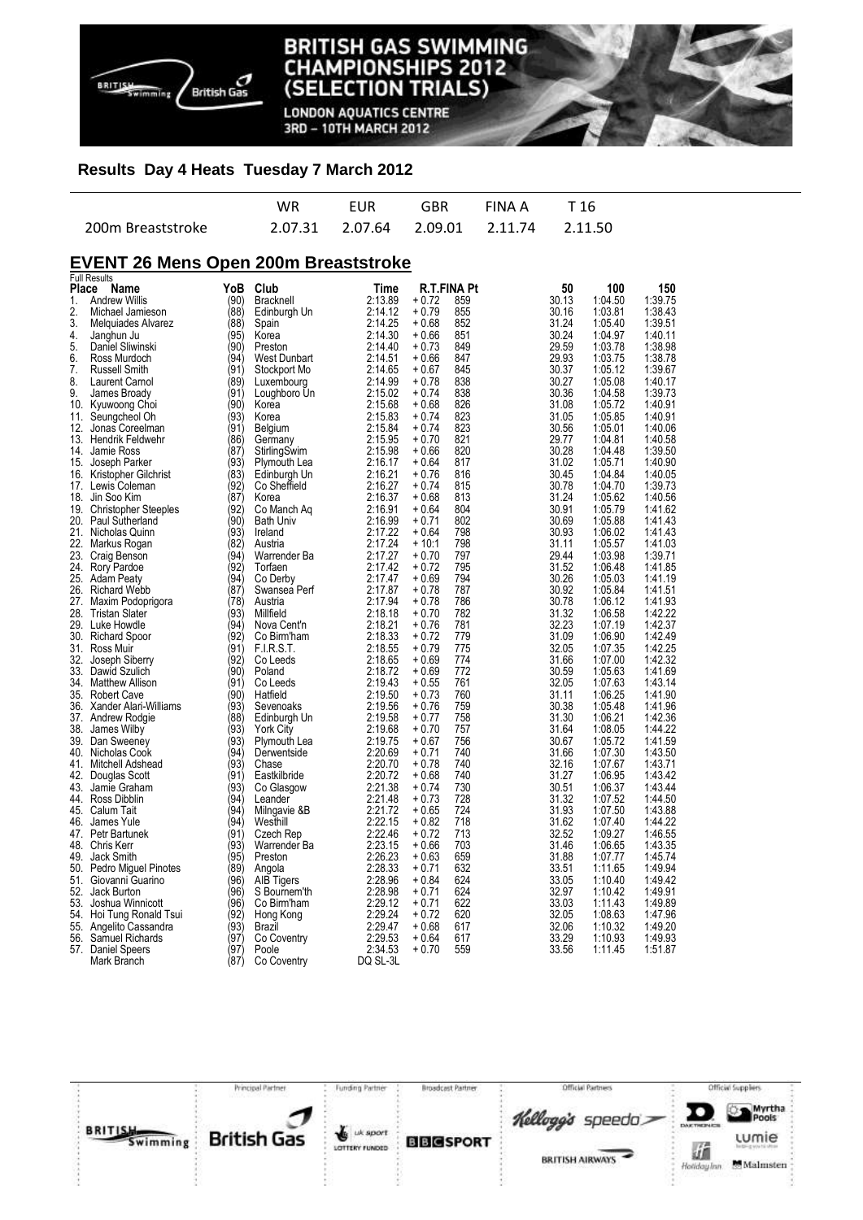

**LONDON AQUATICS CENTRE** 3RD - 10TH MARCH 2012

#### **Results Day 4 Heats Tuesday 7 March 2012**

|                   | WR | FUR | GBR | FINAA T16                               |  |
|-------------------|----|-----|-----|-----------------------------------------|--|
| 200m Breaststroke |    |     |     | 2.07.31 2.07.64 2.09.01 2.11.74 2.11.50 |  |

## **EVENT 26 Mens Open 200m Breaststroke**

|                | <b>Full Results</b>       |      |                  |          |         |             |       |         |         |
|----------------|---------------------------|------|------------------|----------|---------|-------------|-------|---------|---------|
| <b>Place</b>   | Name                      | YoB  | Club             | Time     |         | R.T.FINA Pt | 50    | 100     | 150     |
| $\mathbf{1}$ . | <b>Andrew Willis</b>      | (90) | <b>Bracknell</b> | 2:13.89  | $+0.72$ | 859         | 30.13 | 1:04.50 | 1:39.75 |
| 2.             | Michael Jamieson          | (88) | Edinburgh Un     | 2:14.12  | + 0.79  | 855         | 30.16 | 1:03.81 | 1:38.43 |
| 3.             | Melquiades Alvarez        | (88) | Spain            | 2:14.25  | + 0.68  | 852         | 31.24 | 1:05.40 | 1:39.51 |
| 4.             | Janghun Ju                | (95) | Korea            | 2:14.30  | + 0.66  | 851         | 30.24 | 1:04.97 | 1:40.11 |
| 5.             | Daniel Sliwinski          | (90) | Preston          | 2:14.40  | $+0.73$ | 849         | 29.59 | 1:03.78 | 1:38.98 |
| 6.             | Ross Murdoch              | (94) | West Dunbart     | 2:14.51  | + 0.66  | 847         | 29.93 | 1:03.75 | 1:38.78 |
| 7.             | <b>Russell Smith</b>      | (91) | Stockport Mo     | 2:14.65  | + 0.67  | 845         | 30.37 | 1:05.12 | 1:39.67 |
| 8.             | Laurent Carnol            | (89) | Luxembourg       | 2:14.99  | + 0.78  | 838         | 30.27 | 1:05.08 | 1:40.17 |
| 9.             | James Broady              | (91) | Loughboro Un     | 2:15.02  | + 0.74  | 838         | 30.36 | 1:04.58 | 1:39.73 |
| 10.            |                           | (90) | Korea            | 2:15.68  | + 0.68  | 826         | 31.08 | 1:05.72 | 1:40.91 |
|                | Kyuwoong Choi             | (93) | Korea            | 2:15.83  | $+0.74$ | 823         | 31.05 | 1:05.85 | 1:40.91 |
|                | 11. Seungcheol Oh         | (91) |                  |          |         | 823         |       |         | 1:40.06 |
|                | 12. Jonas Coreelman       |      | Belgium          | 2:15.84  | + 0.74  |             | 30.56 | 1:05.01 |         |
|                | 13. Hendrik Feldwehr      | (86) | Germany          | 2:15.95  | $+0.70$ | 821         | 29.77 | 1:04.81 | 1:40.58 |
| 14.            | Jamie Ross                | (87) | StirlingSwim     | 2:15.98  | + 0.66  | 820         | 30.28 | 1:04.48 | 1:39.50 |
|                | 15. Joseph Parker         | (93) | Plymouth Lea     | 2:16.17  | $+0.64$ | 817         | 31.02 | 1:05.71 | 1:40.90 |
|                | 16. Kristopher Gilchrist  | (83) | Edinburgh Un     | 2:16.21  | $+0.76$ | 816         | 30.45 | 1:04.84 | 1:40.05 |
|                | 17. Lewis Coleman         | (92) | Co Sheffield     | 2:16.27  | $+0.74$ | 815         | 30.78 | 1:04.70 | 1:39.73 |
| 18.            | Jin Soo Kim               | (87) | Korea            | 2:16.37  | + 0.68  | 813         | 31.24 | 1:05.62 | 1:40.56 |
|                | 19. Christopher Steeples  | (92) | Co Manch Aq      | 2:16.91  | $+0.64$ | 804         | 30.91 | 1:05.79 | 1:41.62 |
|                | 20. Paul Sutherland       | (90) | <b>Bath Univ</b> | 2:16.99  | + 0.71  | 802         | 30.69 | 1:05.88 | 1:41.43 |
|                | 21. Nicholas Quinn        | (93) | Ireland          | 2:17.22  | $+0.64$ | 798         | 30.93 | 1:06.02 | 1:41.43 |
| 22.            | Markus Rogan              | (82) | Austria          | 2:17.24  | $+10:1$ | 798         | 31.11 | 1:05.57 | 1:41.03 |
|                | 23. Craig Benson          | (94) | Warrender Ba     | 2:17.27  | $+0.70$ | 797         | 29.44 | 1:03.98 | 1:39.71 |
|                | 24. Rory Pardoe           | (92) | Torfaen          | 2:17.42  | $+0.72$ | 795         | 31.52 | 1:06.48 | 1:41.85 |
|                | 25. Adam Peaty            | (94) | Co Derby         | 2:17.47  | $+0.69$ | 794         | 30.26 | 1:05.03 | 1:41.19 |
| 26.            | <b>Richard Webb</b>       | (87) | Swansea Perf     | 2:17.87  | + 0.78  | 787         | 30.92 | 1:05.84 | 1:41.51 |
|                |                           | (78) | Austria          | 2:17.94  | $+0.78$ | 786         | 30.78 | 1:06.12 | 1:41.93 |
|                | 27. Maxim Podoprigora     |      |                  |          |         |             |       |         |         |
|                | 28. Tristan Slater        | (93) | Millfield        | 2:18.18  | $+0.70$ | 782         | 31.32 | 1:06.58 | 1:42.22 |
|                | 29. Luke Howdle           | (94) | Nova Cent'n      | 2:18.21  | $+0.76$ | 781         | 32.23 | 1:07.19 | 1:42.37 |
|                | 30. Richard Spoor         | (92) | Co Birm'ham      | 2:18.33  | + 0.72  | 779         | 31.09 | 1:06.90 | 1:42.49 |
|                | 31. Ross Muir             | (91) | FIRST.           | 2:18.55  | $+0.79$ | 775         | 32.05 | 1:07.35 | 1:42.25 |
|                | 32. Joseph Siberry        | (92) | Co Leeds         | 2:18.65  | + 0.69  | 774         | 31.66 | 1:07.00 | 1:42.32 |
|                | 33. Dawid Szulich         | (90) | Poland           | 2:18.72  | $+0.69$ | 772         | 30.59 | 1:05.63 | 1:41.69 |
|                | 34. Matthew Allison       | (91) | Co Leeds         | 2:19.43  | + 0.55  | 761         | 32.05 | 1:07.63 | 1:43.14 |
|                | 35. Robert Cave           | (90) | Hatfield         | 2:19.50  | $+0.73$ | 760         | 31.11 | 1:06.25 | 1:41.90 |
|                | 36. Xander Alari-Williams | (93) | Sevenoaks        | 2:19.56  | + 0.76  | 759         | 30.38 | 1:05.48 | 1:41.96 |
|                | 37. Andrew Rodgie         | (88) | Edinburgh Un     | 2:19.58  | $+0.77$ | 758         | 31.30 | 1:06.21 | 1:42.36 |
| 38.            | James Wilby               | (93) | <b>York City</b> | 2:19.68  | + 0.70  | 757         | 31.64 | 1:08.05 | 1:44.22 |
|                | 39. Dan Sweeney           | (93) | Plymouth Lea     | 2:19.75  | $+0.67$ | 756         | 30.67 | 1:05.72 | 1:41.59 |
|                | 40. Nicholas Cook         | (94) | Derwentside      | 2:20.69  | $+0.71$ | 740         | 31.66 | 1:07.30 | 1:43.50 |
|                | 41. Mitchell Adshead      | (93) | Chase            | 2:20.70  | $+0.78$ | 740         | 32.16 | 1:07.67 | 1:43.71 |
| 42.            | Douglas Scott             | (91) | Eastkilbride     | 2:20.72  | + 0.68  | 740         | 31.27 | 1:06.95 | 1:43.42 |
|                | 43. Jamie Graham          | (93) | Co Glasgow       | 2:21.38  | $+0.74$ | 730         | 30.51 | 1:06.37 | 1:43.44 |
|                | 44. Ross Dibblin          | (94) | Leander          | 2:21.48  | $+0.73$ | 728         | 31.32 | 1:07.52 | 1:44.50 |
|                | 45. Calum Tait            | (94) |                  | 2:21.72  | $+0.65$ | 724         | 31.93 | 1:07.50 | 1:43.88 |
|                |                           |      | Milngavie &B     |          |         |             |       |         |         |
| 46.            | James Yule                | (94) | Westhill         | 2:22.15  | + 0.82  | 718         | 31.62 | 1:07.40 | 1:44.22 |
|                | 47. Petr Bartunek         | (91) | Czech Rep        | 2:22.46  | $+0.72$ | 713         | 32.52 | 1:09.27 | 1:46.55 |
|                | 48. Chris Kerr            | (93) | Warrender Ba     | 2:23.15  | $+0.66$ | 703         | 31.46 | 1:06.65 | 1:43.35 |
| 49.            | Jack Smith                | (95) | Preston          | 2:26.23  | + 0.63  | 659         | 31.88 | 1:07.77 | 1:45.74 |
| 50.            | Pedro Miguel Pinotes      | (89) | Angola           | 2:28.33  | + 0.71  | 632         | 33.51 | 1:11.65 | 1:49.94 |
|                | 51. Giovanni Guarino      | (96) | AIB Tigers       | 2:28.96  | $+0.84$ | 624         | 33.05 | 1:10.40 | 1:49.42 |
| 52.            | Jack Burton               | (96) | S Bournem'th     | 2:28.98  | $+0.71$ | 624         | 32.97 | 1:10.42 | 1:49.91 |
| 53.            | Joshua Winnicott          | (96) | Co Birm'ham      | 2:29.12  | + 0.71  | 622         | 33.03 | 1:11.43 | 1:49.89 |
| 54.            | Hoi Tung Ronald Tsui      | (92) | Hong Kong        | 2:29.24  | + 0.72  | 620         | 32.05 | 1:08.63 | 1:47.96 |
| 55.            | Angelito Cassandra        | (93) | Brazil           | 2:29.47  | + 0.68  | 617         | 32.06 | 1:10.32 | 1:49.20 |
| 56.            | Samuel Richards           | (97) | Co Coventry      | 2:29.53  | $+0.64$ | 617         | 33.29 | 1:10.93 | 1:49.93 |
|                | 57. Daniel Speers         | (97) | Poole            | 2:34.53  | $+0.70$ | 559         | 33.56 | 1:11.45 | 1:51.87 |
|                | Mark Branch               | (87) | Co Coventry      | DQ SL-3L |         |             |       |         |         |

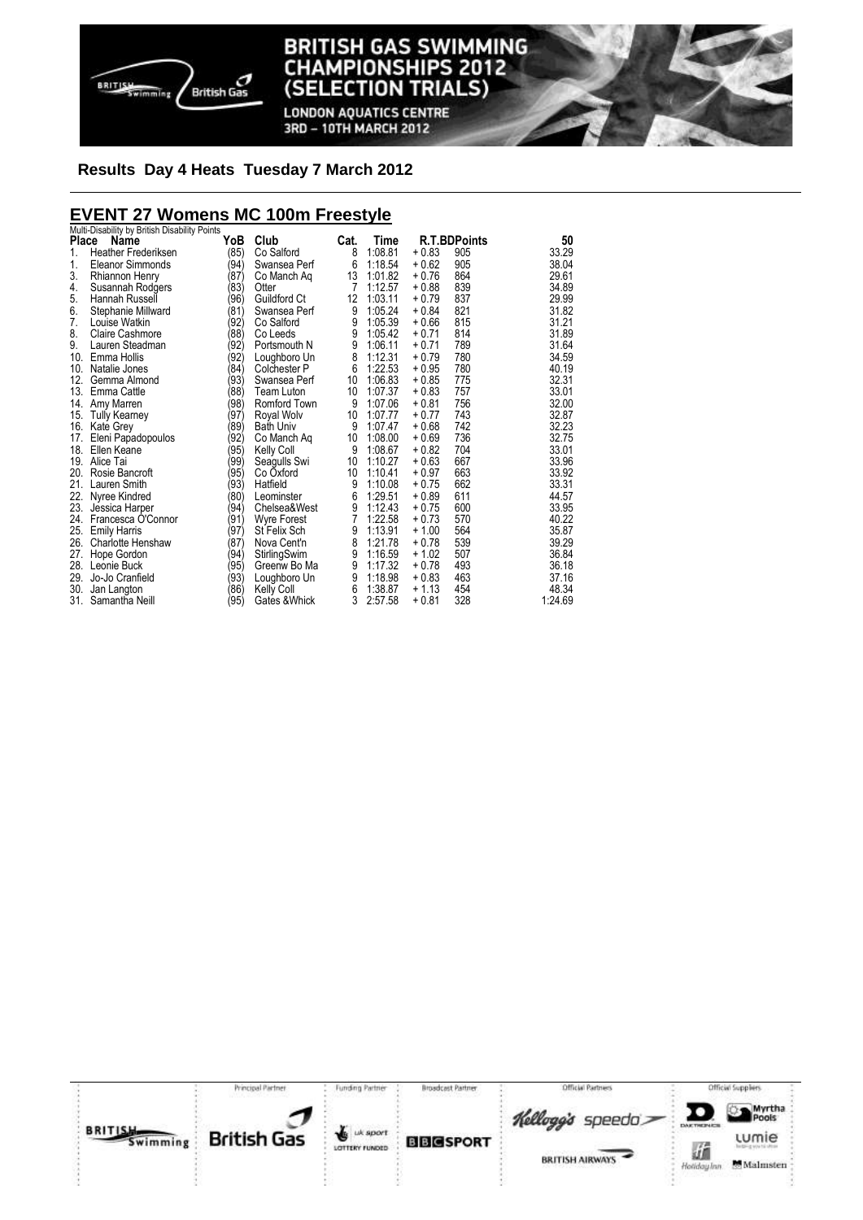

**LONDON AQUATICS CENTRE** 3RD - 10TH MARCH 2012

# **Results Day 4 Heats Tuesday 7 March 2012**

# **EVENT 27 Womens MC 100m Freestyle**  Multi-Disability by British Disability Points

| Place | mulu-Disability by Different Disability Fulfile<br>Name | YoB  | Club               | Cat. | Time    |         | <b>R.T.BDPoints</b> | 50      |
|-------|---------------------------------------------------------|------|--------------------|------|---------|---------|---------------------|---------|
| 1.    | <b>Heather Frederiksen</b>                              | (85) | Co Salford         | 8    | 1:08.81 | $+0.83$ | 905                 | 33.29   |
| 1.    | Eleanor Simmonds                                        | (94) | Swansea Perf       | 6    | 1:18.54 | $+0.62$ | 905                 | 38.04   |
| 3.    | Rhiannon Henry                                          | (87) | Co Manch Aq        | 13   | 1:01.82 | $+0.76$ | 864                 | 29.61   |
| 4.    | Susannah Rodgers                                        | (83) | Otter              | 7    | 1:12.57 | $+0.88$ | 839                 | 34.89   |
| 5.    | Hannah Russell                                          | (96) | Guildford Ct       | 12   | 1:03.11 | $+0.79$ | 837                 | 29.99   |
| 6.    | Stephanie Millward                                      | (81) | Swansea Perf       | 9    | 1:05.24 | $+0.84$ | 821                 | 31.82   |
| 7.    | Louise Watkin                                           | (92) | Co Salford         | 9    | 1:05.39 | $+0.66$ | 815                 | 31.21   |
| 8.    | Claire Cashmore                                         | (88) | Co Leeds           | 9    | 1:05.42 | $+0.71$ | 814                 | 31.89   |
| 9.    | Lauren Steadman                                         | (92) | Portsmouth N       | 9    | 1:06.11 | $+0.71$ | 789                 | 31.64   |
|       | 10. Emma Hollis                                         | (92) | Loughboro Un       | 8    | 1:12.31 | $+0.79$ | 780                 | 34.59   |
| 10.   | Natalie Jones                                           | (84) | Colchester P       | 6    | 1:22.53 | $+0.95$ | 780                 | 40.19   |
| 12.   | Gemma Almond                                            | (93) | Swansea Perf       | 10   | 1:06.83 | $+0.85$ | 775                 | 32.31   |
|       | 13. Emma Cattle                                         | (88) | Team Luton         | 10   | 1:07.37 | $+0.83$ | 757                 | 33.01   |
| 14.   | Amy Marren                                              | (98) | Romford Town       | 9    | 1:07.06 | $+0.81$ | 756                 | 32.00   |
| 15.   | <b>Tully Kearney</b>                                    | (97) | Royal Wolv         | 10   | 1:07.77 | $+0.77$ | 743                 | 32.87   |
|       | 16. Kate Grey                                           | (89) | <b>Bath Univ</b>   | 9    | 1:07.47 | $+0.68$ | 742                 | 32.23   |
| 17.   | Eleni Papadopoulos                                      | (92) | Co Manch Aq        | 10   | 1:08.00 | $+0.69$ | 736                 | 32.75   |
| 18.   | Ellen Keane                                             | (95) | <b>Kelly Coll</b>  | 9    | 1:08.67 | $+0.82$ | 704                 | 33.01   |
|       | 19. Alice Tai                                           | (99) | Seagulls Swi       | 10   | 1:10.27 | $+0.63$ | 667                 | 33.96   |
|       | 20. Rosie Bancroft                                      | (95) | Co Oxford          | 10   | 1:10.41 | $+0.97$ | 663                 | 33.92   |
| 21.   | Lauren Smith                                            | (93) | Hatfield           | 9    | 1:10.08 | $+0.75$ | 662                 | 33.31   |
|       | 22. Nyree Kindred                                       | (80) | Leominster         | 6    | 1:29.51 | $+0.89$ | 611                 | 44.57   |
|       | 23. Jessica Harper                                      | (94) | Chelsea&West       | 9    | 1:12.43 | $+0.75$ | 600                 | 33.95   |
|       | 24. Francesca O'Connor                                  | (91) | <b>Wyre Forest</b> | 7    | 1:22.58 | $+0.73$ | 570                 | 40.22   |
|       | 25. Emily Harris                                        | (97) | St Felix Sch       | 9    | 1:13.91 | $+1.00$ | 564                 | 35.87   |
|       | 26. Charlotte Henshaw                                   | (87) | Nova Cent'n        | 8    | 1:21.78 | $+0.78$ | 539                 | 39.29   |
| 27.   | Hope Gordon                                             | (94) | StirlingSwim       | 9    | 1:16.59 | $+1.02$ | 507                 | 36.84   |
|       | 28. Leonie Buck                                         | (95) | Greenw Bo Ma       | 9    | 1:17.32 | $+0.78$ | 493                 | 36.18   |
|       | 29. Jo-Jo Cranfield                                     | (93) | Loughboro Un       | 9    | 1:18.98 | $+0.83$ | 463                 | 37.16   |
| 30.   | Jan Langton                                             | (86) | <b>Kelly Coll</b>  | 6    | 1:38.87 | $+1.13$ | 454                 | 48.34   |
| 31.   | Samantha Neill                                          | (95) | Gates & Whick      | 3    | 2:57.58 | $+0.81$ | 328                 | 1:24.69 |